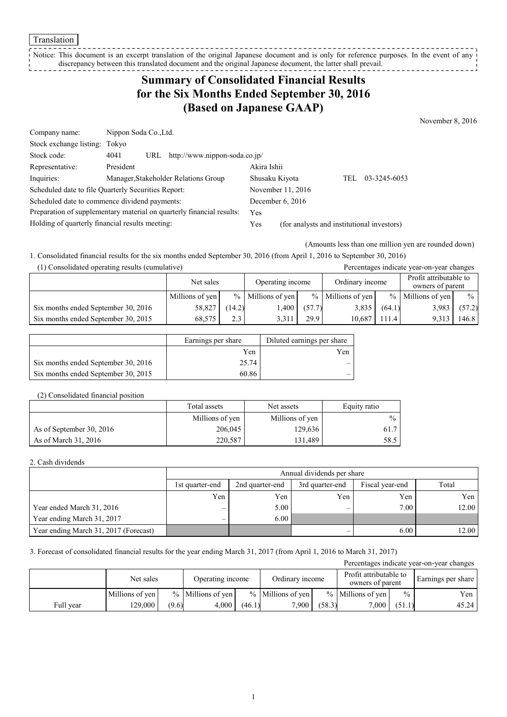Translation

Notice: This document is an excerpt translation of the original Japanese document and is only for reference purposes. In the event of any discrepancy between this translated document and the original Japanese document, the latter shall prevail. ----------------

## **Summary of Consolidated Financial Results for the Six Months Ended September 30, 2016 (Based on Japanese GAAP)**

November 8, 2016

| Company name:                                                         | Nippon Soda Co., Ltd. |                                      |                |                                            |      |              |
|-----------------------------------------------------------------------|-----------------------|--------------------------------------|----------------|--------------------------------------------|------|--------------|
| Stock exchange listing: Tokyo                                         |                       |                                      |                |                                            |      |              |
| Stock code:                                                           | 4041                  | URL $http://www.nippon-soda.co.jp/$  |                |                                            |      |              |
| Representative:                                                       | President             |                                      | Akira Ishii    |                                            |      |              |
| Inquiries:                                                            |                       | Manager, Stakeholder Relations Group | Shusaku Kiyota |                                            | TEL. | 03-3245-6053 |
| Scheduled date to file Quarterly Securities Report:                   |                       |                                      |                | November 11, 2016                          |      |              |
| Scheduled date to commence dividend payments:                         |                       |                                      |                | December $6, 2016$                         |      |              |
| Preparation of supplementary material on quarterly financial results: |                       |                                      | Yes            |                                            |      |              |
| Holding of quarterly financial results meeting:                       |                       |                                      | Yes            | (for analysts and institutional investors) |      |              |

(Amounts less than one million yen are rounded down)

1. Consolidated financial results for the six months ended September 30, 2016 (from April 1, 2016 to September 30, 2016) (1) Consolidated operating results (cumulative) Percentages indicate year-on-year changes

| $(1)$ consolidated operating results (cumulative) |                               |        |                     |        |                                            |        | I creentages marcule year on year enanges |        |
|---------------------------------------------------|-------------------------------|--------|---------------------|--------|--------------------------------------------|--------|-------------------------------------------|--------|
|                                                   | Operating income<br>Net sales |        | Ordinary income     |        | Profit attributable to<br>owners of parent |        |                                           |        |
|                                                   | Millions of yen               |        | $%$ Millions of yen |        | $%$ Millions of yen                        |        | $%$ Millions of yen                       | $\%$   |
| Six months ended September 30, 2016               | 58,827                        | (14.2) | .400                | (57.7) | 3,835                                      | (64.1) | 3.983                                     | (57.2) |
| Six months ended September 30, 2015               | 68.575                        | 2.3    | 3.311               | 29.9   | 10.687                                     | 111.4  | 9.313                                     | 146.8  |

|                                     | Earnings per share | Diluted earnings per share |
|-------------------------------------|--------------------|----------------------------|
|                                     | Yen                | Yen                        |
| Six months ended September 30, 2016 | 25.74              |                            |
| Six months ended September 30, 2015 | 60.86              |                            |

#### (2) Consolidated financial position

|                          | Total assets    | Net assets      | Equity ratio  |
|--------------------------|-----------------|-----------------|---------------|
|                          | Millions of yen | Millions of yen | $\frac{0}{0}$ |
| As of September 30, 2016 | 206,045         | 129,636         | 61.7          |
| As of March 31, 2016     | 220.587         | 131.489         | 58.5          |

#### 2. Cash dividends

|                                       | Annual dividends per share |                                                                |     |      |       |  |  |  |
|---------------------------------------|----------------------------|----------------------------------------------------------------|-----|------|-------|--|--|--|
|                                       | 1st quarter-end            | Total<br>Fiscal year-end<br>2nd quarter-end<br>3rd quarter-end |     |      |       |  |  |  |
|                                       | Yen                        | Yen                                                            | Yen | Yen  | Yen   |  |  |  |
| Year ended March 31, 2016             |                            | 5.00                                                           |     | 7.00 | 12.00 |  |  |  |
| Year ending March 31, 2017            |                            | 6.00                                                           |     |      |       |  |  |  |
| Year ending March 31, 2017 (Forecast) |                            |                                                                |     | 6.00 | 12.00 |  |  |  |

#### 3. Forecast of consolidated financial results for the year ending March 31, 2017 (from April 1, 2016 to March 31, 2017)

| Percentages indicate year-on-year changes |                 |       |                                     |        |                     |        |                                            |               |                    |
|-------------------------------------------|-----------------|-------|-------------------------------------|--------|---------------------|--------|--------------------------------------------|---------------|--------------------|
|                                           | Net sales       |       | Ordinary income<br>Operating income |        |                     |        | Profit attributable to<br>owners of parent |               | Earnings per share |
|                                           | Millions of yen |       | $%$ Millions of yen                 |        | $%$ Millions of yen |        | $%$ Millions of yen                        | $\frac{0}{0}$ | Yen                |
| Full year                                 | 129.000         | (9.6) | 4.000                               | (46.1) | 7.900               | (58.3) | $7,000$ ,                                  | (51.1)        | 45.24              |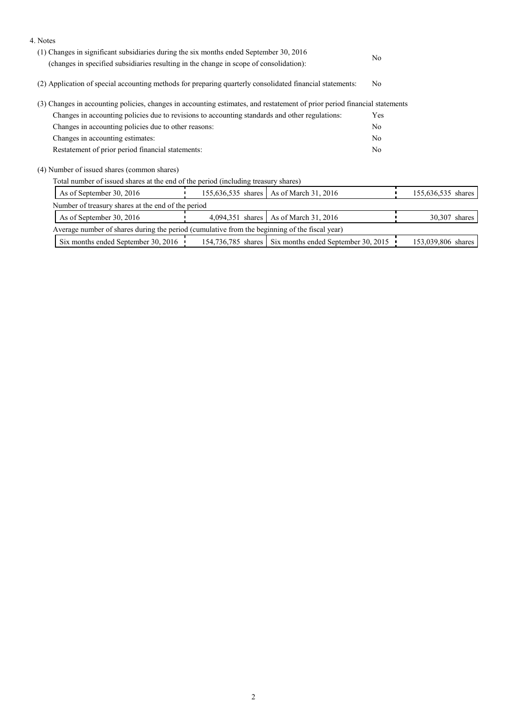| 4. Notes                                                                                                                  |                                                                                        |                                                        |  |                    |  |
|---------------------------------------------------------------------------------------------------------------------------|----------------------------------------------------------------------------------------|--------------------------------------------------------|--|--------------------|--|
|                                                                                                                           | (1) Changes in significant subsidiaries during the six months ended September 30, 2016 |                                                        |  |                    |  |
| (changes in specified subsidiaries resulting in the change in scope of consolidation):                                    |                                                                                        |                                                        |  |                    |  |
| (2) Application of special accounting methods for preparing quarterly consolidated financial statements:                  |                                                                                        |                                                        |  |                    |  |
| (3) Changes in accounting policies, changes in accounting estimates, and restatement of prior period financial statements |                                                                                        |                                                        |  |                    |  |
| Changes in accounting policies due to revisions to accounting standards and other regulations:                            |                                                                                        |                                                        |  |                    |  |
| Changes in accounting policies due to other reasons:                                                                      |                                                                                        |                                                        |  |                    |  |
| Changes in accounting estimates:                                                                                          |                                                                                        |                                                        |  |                    |  |
| Restatement of prior period financial statements:                                                                         |                                                                                        |                                                        |  |                    |  |
| (4) Number of issued shares (common shares)                                                                               |                                                                                        |                                                        |  |                    |  |
| Total number of issued shares at the end of the period (including treasury shares)                                        |                                                                                        |                                                        |  |                    |  |
| As of September 30, 2016                                                                                                  | 155,636,535 shares                                                                     | As of March 31, 2016                                   |  | 155,636,535 shares |  |
| Number of treasury shares at the end of the period                                                                        |                                                                                        |                                                        |  |                    |  |
| As of September 30, 2016                                                                                                  | 4,094,351 shares                                                                       | As of March 31, 2016                                   |  | 30,307 shares      |  |
| Average number of shares during the period (cumulative from the beginning of the fiscal year)                             |                                                                                        |                                                        |  |                    |  |
| Six months ended September 30, 2016                                                                                       |                                                                                        | 154,736,785 shares Six months ended September 30, 2015 |  | 153,039,806 shares |  |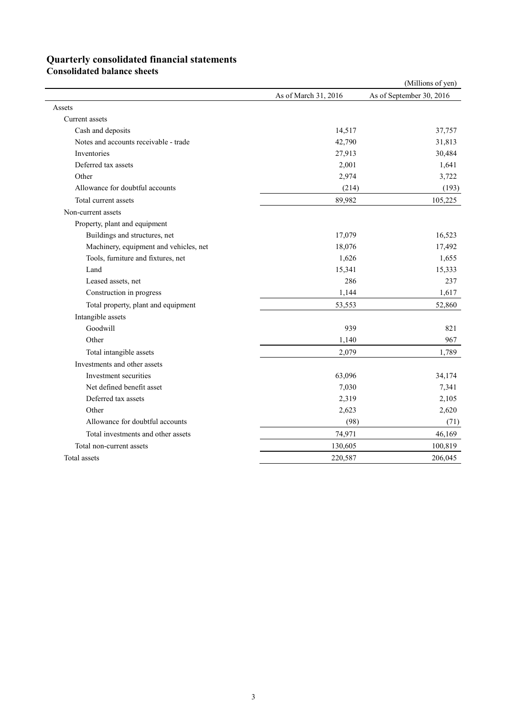# **Quarterly consolidated financial statements**

**Consolidated balance sheets** 

|                                        |                      | (Millions of yen)        |
|----------------------------------------|----------------------|--------------------------|
|                                        | As of March 31, 2016 | As of September 30, 2016 |
| Assets                                 |                      |                          |
| Current assets                         |                      |                          |
| Cash and deposits                      | 14,517               | 37,757                   |
| Notes and accounts receivable - trade  | 42,790               | 31,813                   |
| Inventories                            | 27,913               | 30,484                   |
| Deferred tax assets                    | 2,001                | 1,641                    |
| Other                                  | 2,974                | 3,722                    |
| Allowance for doubtful accounts        | (214)                | (193)                    |
| Total current assets                   | 89,982               | 105,225                  |
| Non-current assets                     |                      |                          |
| Property, plant and equipment          |                      |                          |
| Buildings and structures, net          | 17,079               | 16,523                   |
| Machinery, equipment and vehicles, net | 18,076               | 17,492                   |
| Tools, furniture and fixtures, net     | 1,626                | 1,655                    |
| Land                                   | 15,341               | 15,333                   |
| Leased assets, net                     | 286                  | 237                      |
| Construction in progress               | 1,144                | 1,617                    |
| Total property, plant and equipment    | 53,553               | 52,860                   |
| Intangible assets                      |                      |                          |
| Goodwill                               | 939                  | 821                      |
| Other                                  | 1,140                | 967                      |
| Total intangible assets                | 2,079                | 1,789                    |
| Investments and other assets           |                      |                          |
| Investment securities                  | 63,096               | 34,174                   |
| Net defined benefit asset              | 7,030                | 7,341                    |
| Deferred tax assets                    | 2,319                | 2,105                    |
| Other                                  | 2,623                | 2,620                    |
| Allowance for doubtful accounts        | (98)                 | (71)                     |
| Total investments and other assets     | 74,971               | 46,169                   |
| Total non-current assets               | 130,605              | 100,819                  |
| Total assets                           | 220,587              | 206,045                  |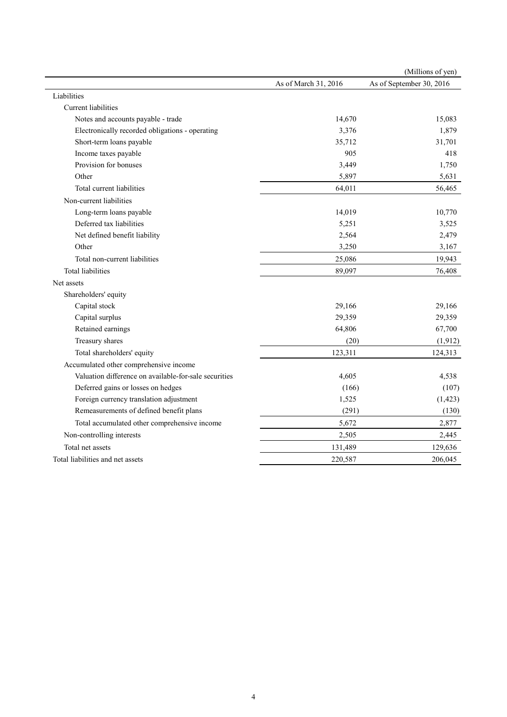|                                                       |                      | (Millions of yen)        |
|-------------------------------------------------------|----------------------|--------------------------|
|                                                       | As of March 31, 2016 | As of September 30, 2016 |
| Liabilities                                           |                      |                          |
| <b>Current</b> liabilities                            |                      |                          |
| Notes and accounts payable - trade                    | 14,670               | 15,083                   |
| Electronically recorded obligations - operating       | 3,376                | 1,879                    |
| Short-term loans payable                              | 35,712               | 31,701                   |
| Income taxes payable                                  | 905                  | 418                      |
| Provision for bonuses                                 | 3,449                | 1,750                    |
| Other                                                 | 5,897                | 5,631                    |
| Total current liabilities                             | 64,011               | 56,465                   |
| Non-current liabilities                               |                      |                          |
| Long-term loans payable                               | 14,019               | 10,770                   |
| Deferred tax liabilities                              | 5,251                | 3,525                    |
| Net defined benefit liability                         | 2,564                | 2,479                    |
| Other                                                 | 3,250                | 3,167                    |
| Total non-current liabilities                         | 25,086               | 19,943                   |
| <b>Total liabilities</b>                              | 89,097               | 76,408                   |
| Net assets                                            |                      |                          |
| Shareholders' equity                                  |                      |                          |
| Capital stock                                         | 29,166               | 29,166                   |
| Capital surplus                                       | 29,359               | 29,359                   |
| Retained earnings                                     | 64,806               | 67,700                   |
| Treasury shares                                       | (20)                 | (1, 912)                 |
| Total shareholders' equity                            | 123,311              | 124,313                  |
| Accumulated other comprehensive income                |                      |                          |
| Valuation difference on available-for-sale securities | 4,605                | 4,538                    |
| Deferred gains or losses on hedges                    | (166)                | (107)                    |
| Foreign currency translation adjustment               | 1,525                | (1, 423)                 |
| Remeasurements of defined benefit plans               | (291)                | (130)                    |
| Total accumulated other comprehensive income          | 5,672                | 2,877                    |
| Non-controlling interests                             | 2,505                | 2,445                    |
| Total net assets                                      | 131,489              | 129,636                  |
| Total liabilities and net assets                      | 220,587              | 206,045                  |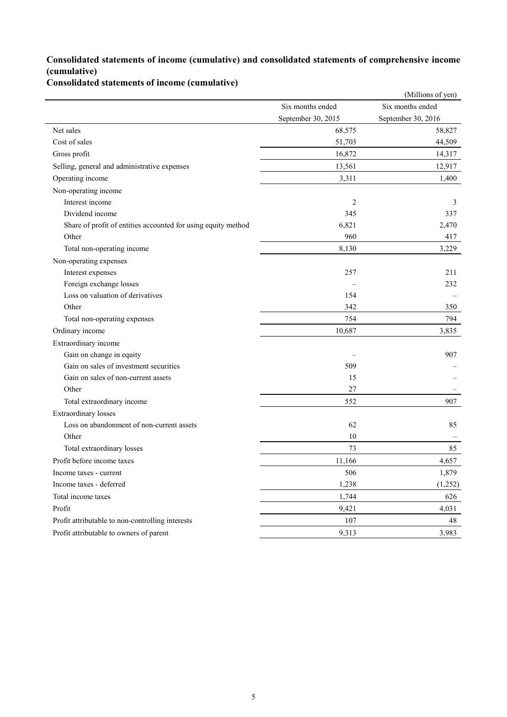### **Consolidated statements of income (cumulative) and consolidated statements of comprehensive income (cumulative)**

**Consolidated statements of income (cumulative)**

|                                                               |                    | (Millions of yen)  |
|---------------------------------------------------------------|--------------------|--------------------|
|                                                               | Six months ended   | Six months ended   |
|                                                               | September 30, 2015 | September 30, 2016 |
| Net sales                                                     | 68,575             | 58,827             |
| Cost of sales                                                 | 51,703             | 44,509             |
| Gross profit                                                  | 16,872             | 14,317             |
| Selling, general and administrative expenses                  | 13,561             | 12,917             |
| Operating income                                              | 3,311              | 1,400              |
| Non-operating income                                          |                    |                    |
| Interest income                                               | $\overline{c}$     | 3                  |
| Dividend income                                               | 345                | 337                |
| Share of profit of entities accounted for using equity method | 6,821              | 2,470              |
| Other                                                         | 960                | 417                |
| Total non-operating income                                    | 8,130              | 3,229              |
| Non-operating expenses                                        |                    |                    |
| Interest expenses                                             | 257                | 211                |
| Foreign exchange losses                                       |                    | 232                |
| Loss on valuation of derivatives                              | 154                |                    |
| Other                                                         | 342                | 350                |
| Total non-operating expenses                                  | 754                | 794                |
| Ordinary income                                               | 10,687             | 3,835              |
| Extraordinary income                                          |                    |                    |
| Gain on change in equity                                      |                    | 907                |
| Gain on sales of investment securities                        | 509                |                    |
| Gain on sales of non-current assets                           | 15                 |                    |
| Other                                                         | 27                 |                    |
| Total extraordinary income                                    | 552                | 907                |
| Extraordinary losses                                          |                    |                    |
| Loss on abandonment of non-current assets                     | 62                 | 85                 |
| Other                                                         | 10                 |                    |
| Total extraordinary losses                                    | 73                 | 85                 |
| Profit before income taxes                                    | 11,166             | 4,657              |
| Income taxes - current                                        | 506                | 1,879              |
| Income taxes - deferred                                       | 1,238              | (1,252)            |
| Total income taxes                                            | 1,744              | 626                |
| Profit                                                        | 9,421              | 4,031              |
| Profit attributable to non-controlling interests              | 107                | 48                 |
| Profit attributable to owners of parent                       | 9,313              | 3,983              |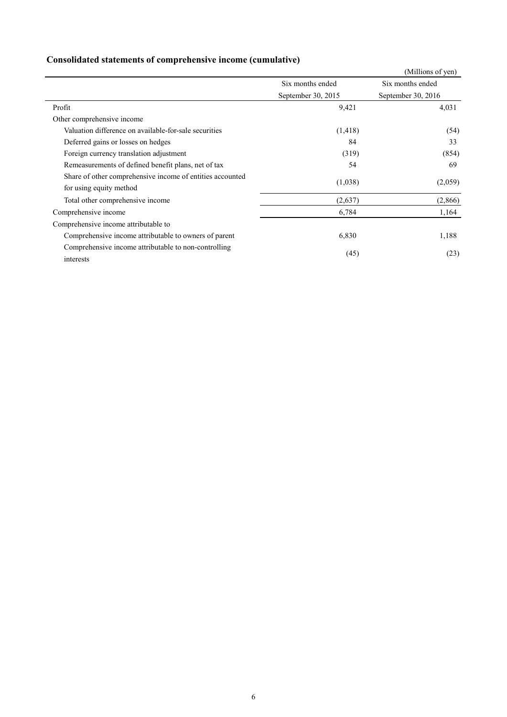|                                                                   |                    | (Millions of yen)  |
|-------------------------------------------------------------------|--------------------|--------------------|
|                                                                   | Six months ended   | Six months ended   |
|                                                                   | September 30, 2015 | September 30, 2016 |
| Profit                                                            | 9,421              | 4,031              |
| Other comprehensive income                                        |                    |                    |
| Valuation difference on available-for-sale securities             | (1, 418)           | (54)               |
| Deferred gains or losses on hedges                                | 84                 | 33                 |
| Foreign currency translation adjustment                           | (319)              | (854)              |
| Remeasurements of defined benefit plans, net of tax               | 54                 | 69                 |
| Share of other comprehensive income of entities accounted         |                    |                    |
| for using equity method                                           | (1,038)            | (2,059)            |
| Total other comprehensive income                                  | (2,637)            | (2,866)            |
| Comprehensive income                                              | 6,784              | 1,164              |
| Comprehensive income attributable to                              |                    |                    |
| Comprehensive income attributable to owners of parent             | 6,830              | 1,188              |
| Comprehensive income attributable to non-controlling<br>interests | (45)               | (23)               |